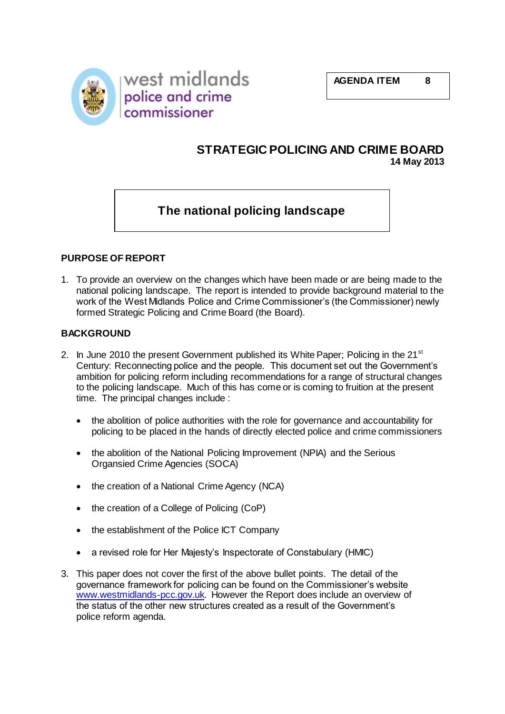



## **STRATEGIC POLICING AND CRIME BOARD 14 May 2013**

# **The national policing landscape**

#### **PURPOSE OF REPORT**

1. To provide an overview on the changes which have been made or are being made to the national policing landscape. The report is intended to provide background material to the work of the West Midlands Police and Crime Commissioner's (the Commissioner) newly formed Strategic Policing and Crime Board (the Board).

#### **BACKGROUND**

- 2. In June 2010 the present Government published its White Paper; Policing in the  $21<sup>st</sup>$ Century: Reconnecting police and the people. This document set out the Government's ambition for policing reform including recommendations for a range of structural changes to the policing landscape. Much of this has come or is coming to fruition at the present time. The principal changes include :
	- the abolition of police authorities with the role for governance and accountability for policing to be placed in the hands of directly elected police and crime commissioners
	- the abolition of the National Policing Improvement (NPIA) and the Serious Organsied Crime Agencies (SOCA)
	- the creation of a National Crime Agency (NCA)
	- the creation of a College of Policing (CoP)
	- the establishment of the Police ICT Company
	- a revised role for Her Majesty's Inspectorate of Constabulary (HMIC)
- 3. This paper does not cover the first of the above bullet points. The detail of the governance framework for policing can be found on the Commissioner's website [www.westmidlands-pcc.gov.uk.](http://www.westmidlands-pcc.gov.uk/) However the Report does include an overview of the status of the other new structures created as a result of the Government's police reform agenda.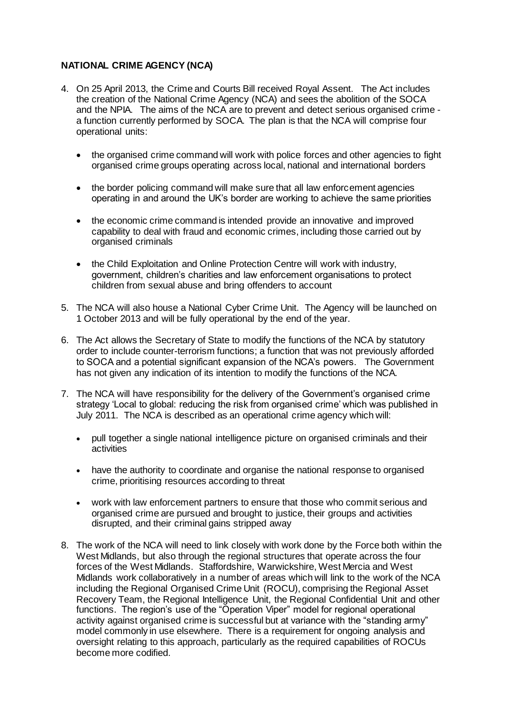## **NATIONAL CRIME AGENCY (NCA)**

- 4. On 25 April 2013, the Crime and Courts Bill received Royal Assent. The Act includes the creation of the National Crime Agency (NCA) and sees the abolition of the SOCA and the NPIA. The aims of the NCA are to prevent and detect serious organised crime a function currently performed by SOCA. The plan is that the NCA will comprise four operational units:
	- the organised crime command will work with police forces and other agencies to fight organised crime groups operating across local, national and international borders
	- the border policing command will make sure that all law enforcement agencies operating in and around the UK's border are working to achieve the same priorities
	- the economic crime command is intended provide an innovative and improved capability to deal with fraud and economic crimes, including those carried out by organised criminals
	- the Child Exploitation and Online Protection Centre will work with industry, government, children's charities and law enforcement organisations to protect children from sexual abuse and bring offenders to account
- 5. The NCA will also house a National Cyber Crime Unit. The Agency will be launched on 1 October 2013 and will be fully operational by the end of the year.
- 6. The Act allows the Secretary of State to modify the functions of the NCA by statutory order to include counter-terrorism functions; a function that was not previously afforded to SOCA and a potential significant expansion of the NCA's powers. The Government has not given any indication of its intention to modify the functions of the NCA.
- 7. The NCA will have responsibility for the delivery of the Government's organised crime strategy 'Local to global: reducing the risk from organised crime' which was published in July 2011. The NCA is described as an operational crime agency which will:
	- pull together a single national intelligence picture on organised criminals and their activities
	- have the authority to coordinate and organise the national response to organised crime, prioritising resources according to threat
	- work with law enforcement partners to ensure that those who commit serious and organised crime are pursued and brought to justice, their groups and activities disrupted, and their criminal gains stripped away
- 8. The work of the NCA will need to link closely with work done by the Force both within the West Midlands, but also through the regional structures that operate across the four forces of the West Midlands. Staffordshire, Warwickshire, West Mercia and West Midlands work collaboratively in a number of areas which will link to the work of the NCA including the Regional Organised Crime Unit (ROCU), comprising the Regional Asset Recovery Team, the Regional Intelligence Unit, the Regional Confidential Unit and other functions. The region's use of the "Operation Viper" model for regional operational activity against organised crime is successful but at variance with the "standing army" model commonly in use elsewhere. There is a requirement for ongoing analysis and oversight relating to this approach, particularly as the required capabilities of ROCUs become more codified.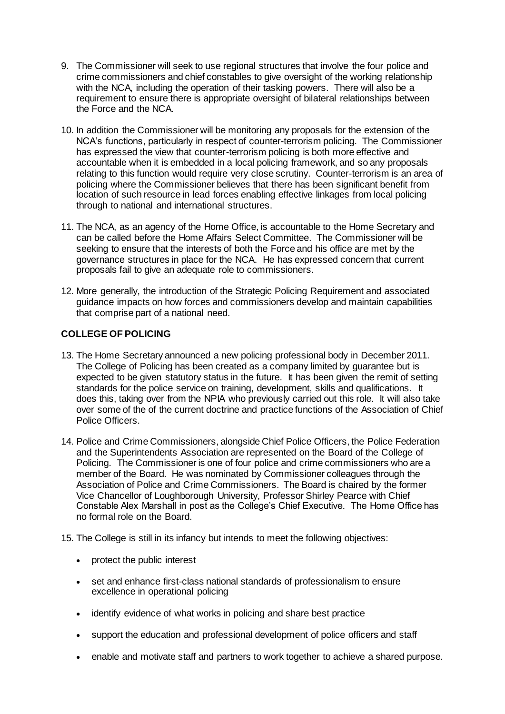- 9. The Commissioner will seek to use regional structures that involve the four police and crime commissioners and chief constables to give oversight of the working relationship with the NCA, including the operation of their tasking powers. There will also be a requirement to ensure there is appropriate oversight of bilateral relationships between the Force and the NCA.
- 10. In addition the Commissioner will be monitoring any proposals for the extension of the NCA's functions, particularly in respect of counter-terrorism policing. The Commissioner has expressed the view that counter-terrorism policing is both more effective and accountable when it is embedded in a local policing framework, and so any proposals relating to this function would require very close scrutiny. Counter-terrorism is an area of policing where the Commissioner believes that there has been significant benefit from location of such resource in lead forces enabling effective linkages from local policing through to national and international structures.
- 11. The NCA, as an agency of the Home Office, is accountable to the Home Secretary and can be called before the Home Affairs Select Committee. The Commissioner will be seeking to ensure that the interests of both the Force and his office are met by the governance structures in place for the NCA. He has expressed concern that current proposals fail to give an adequate role to commissioners.
- 12. More generally, the introduction of the Strategic Policing Requirement and associated guidance impacts on how forces and commissioners develop and maintain capabilities that comprise part of a national need.

## **COLLEGE OF POLICING**

- 13. The Home Secretary announced a new policing professional body in December 2011. The College of Policing has been created as a company limited by guarantee but is expected to be given statutory status in the future. It has been given the remit of setting standards for the police service on training, development, skills and qualifications. It does this, taking over from the NPIA who previously carried out this role. It will also take over some of the of the current doctrine and practice functions of the Association of Chief Police Officers.
- 14. Police and Crime Commissioners, alongside Chief Police Officers, the Police Federation and the Superintendents Association are represented on the Board of the College of Policing. The Commissioner is one of four police and crime commissioners who are a member of the Board. He was nominated by Commissioner colleagues through the Association of Police and Crime Commissioners. The Board is chaired by the former Vice Chancellor of Loughborough University, Professor Shirley Pearce with Chief Constable Alex Marshall in post as the College's Chief Executive. The Home Office has no formal role on the Board.
- 15. The College is still in its infancy but intends to meet the following objectives:
	- protect the public interest
	- set and enhance first-class national standards of professionalism to ensure excellence in operational policing
	- identify evidence of what works in policing and share best practice
	- support the education and professional development of police officers and staff
	- enable and motivate staff and partners to work together to achieve a shared purpose.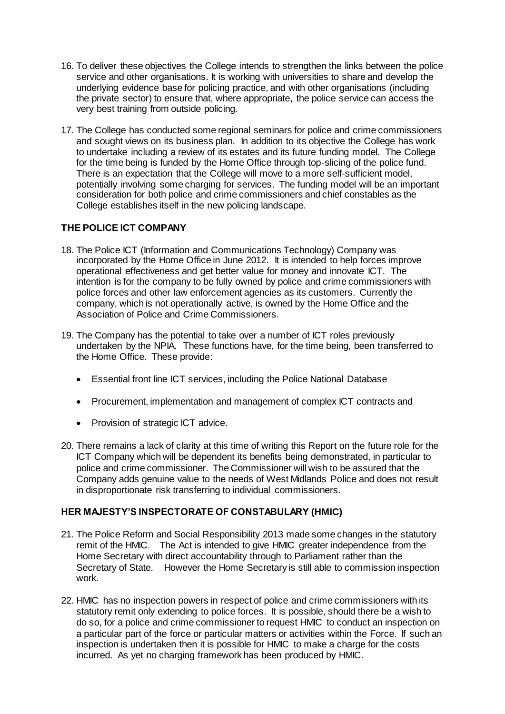- 16. To deliver these objectives the College intends to strengthen the links between the police service and other organisations. It is working with universities to share and develop the underlying evidence base for policing practice, and with other organisations (including the private sector) to ensure that, where appropriate, the police service can access the very best training from outside policing.
- 17. The College has conducted some regional seminars for police and crime commissioners and sought views on its business plan. In addition to its objective the College has work to undertake including a review of its estates and its future funding model. The College for the time being is funded by the Home Office through top-slicing of the police fund. There is an expectation that the College will move to a more self-sufficient model, potentially involving some charging for services. The funding model will be an important consideration for both police and crime commissioners and chief constables as the College establishes itself in the new policing landscape.

## **THE POLICE ICT COMPANY**

- 18. The Police ICT (Information and Communications Technology) Company was incorporated by the Home Office in June 2012. It is intended to help forces improve operational effectiveness and get better value for money and innovate ICT. The intention is for the company to be fully owned by police and crime commissioners with police forces and other law enforcement agencies as its customers. Currently the company, which is not operationally active, is owned by the Home Office and the Association of Police and Crime Commissioners.
- 19. The Company has the potential to take over a number of ICT roles previously undertaken by the NPIA. These functions have, for the time being, been transferred to the Home Office. These provide:
	- Essential front line ICT services, including the Police National Database
	- Procurement, implementation and management of complex ICT contracts and
	- Provision of strategic ICT advice.
- 20. There remains a lack of clarity at this time of writing this Report on the future role for the ICT Company which will be dependent its benefits being demonstrated, in particular to police and crime commissioner. The Commissioner will wish to be assured that the Company adds genuine value to the needs of West Midlands Police and does not result in disproportionate risk transferring to individual commissioners.

## **HER MAJESTY'S INSPECTORATE OF CONSTABULARY (HMIC)**

- 21. The Police Reform and Social Responsibility 2013 made some changes in the statutory remit of the HMIC. The Act is intended to give HMIC greater independence from the Home Secretary with direct accountability through to Parliament rather than the Secretary of State. However the Home Secretary is still able to commission inspection work.
- 22. HMIC has no inspection powers in respect of police and crime commissioners with its statutory remit only extending to police forces. It is possible, should there be a wish to do so, for a police and crime commissioner to request HMIC to conduct an inspection on a particular part of the force or particular matters or activities within the Force. If such an inspection is undertaken then it is possible for HMIC to make a charge for the costs incurred. As yet no charging framework has been produced by HMIC.